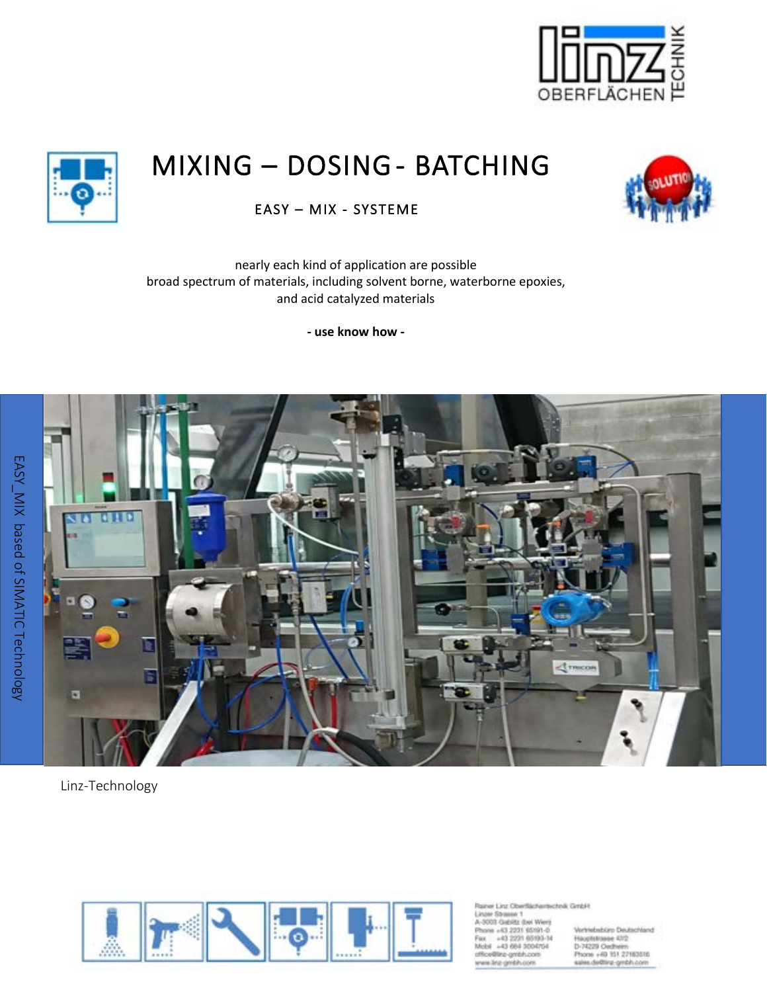

# MIXING – DOSING - BATCHING



EASY – MIX - SYSTEME

nearly each kind of application are possible broad spectrum of materials, including solvent borne, waterborne epoxies, and acid catalyzed materials

**- use know how -** 



Linz-Technology



siner Linz Oberflächertechnik GmbH Linter Stressor 1 A-3003 Gabiltz (bei Werg hone +43 2231 65191-0 +43 2231 65193-14<br>+43 664 3004704 re-gmbh.com · line-gmbh.com

Vertriebsbürp Deutschland Hauptstrasse 47/2<br>D-74229 Oedheim Phone +49 151 27183516<br>sales de@linz-gmbh.com

EASY\_MIX based of SIMATIC Technology EASY\_MIX based of SIMATIC Technology

Ï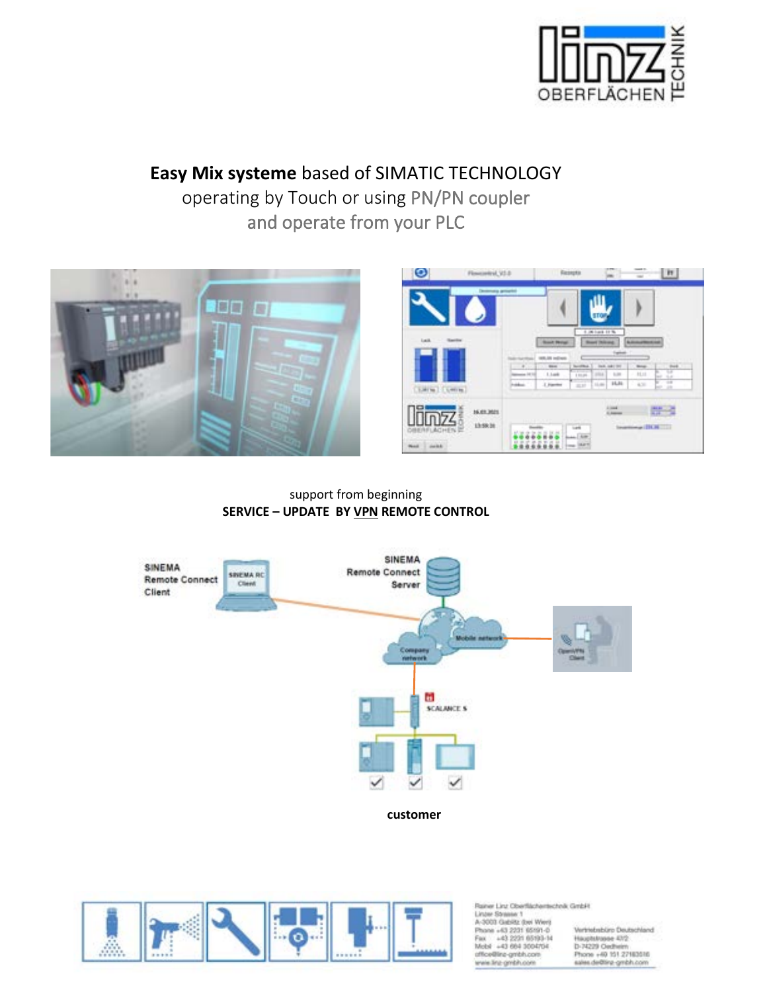

# **Easy Mix systeme** based of SIMATIC TECHNOLOGY

operating by Touch or using PN/PN coupler and operate from your PLC



support from beginning **SERVICE – UPDATE BY VPN REMOTE CONTROL**





Rainer Linz Oberflächertechnik GmbH Linder Stresse 1<br>A-3003 Gabilitz (bei Werr)<br>Phone +43 2231 65191-0 Fax: +43 2231 65193-14<br>Mobil +43 664 3004704 office@inz-gmbh.com<br>wwie.linz-gmbh.com

Vertriebsbürp Deutschland Hauptstrasse 47/2<br>D-74229 Oedheim Phone +49 151 27163516<br>sales de@line-gmbh.com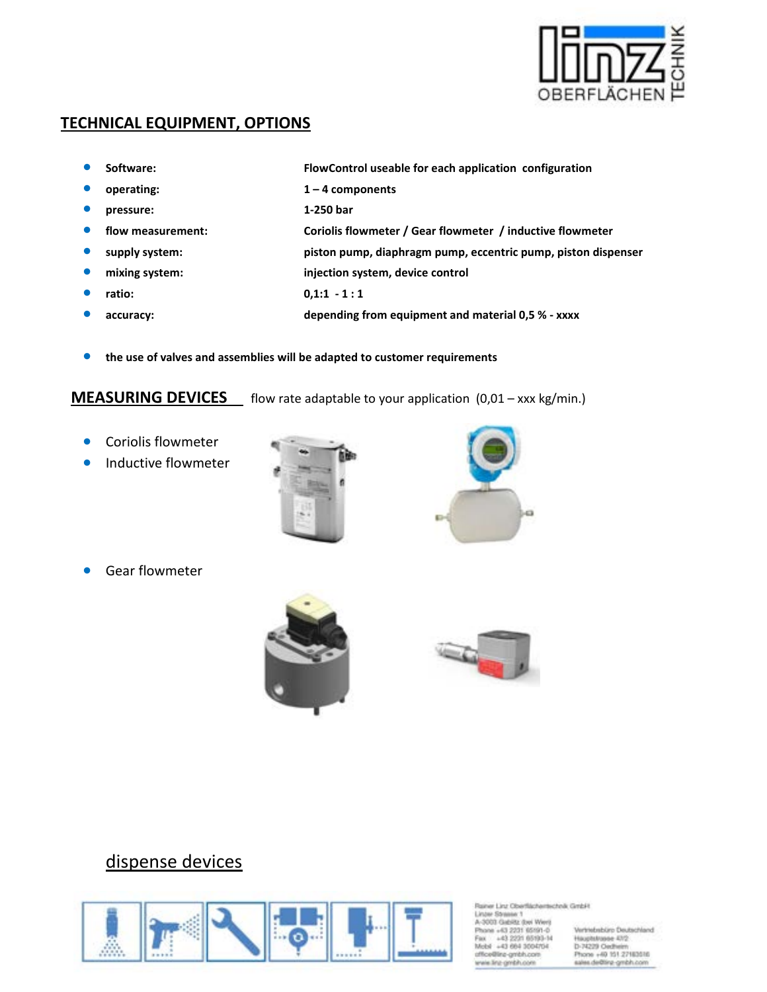

### **TECHNICAL EQUIPMENT, OPTIONS**

- **Software: FlowControl useable for each application configuration**
- **operating: 1 4 components**
- **pressure: 1-250 bar**
- **flow measurement: Coriolis flowmeter / Gear flowmeter / inductive flowmeter**
- **supply system: piston pump, diaphragm pump, eccentric pump, piston dispenser**
- **mixing system: injection system, device control**
- **ratio: 0,1:1 1 : 1**
- **accuracy: depending from equipment and material 0,5 % xxxx**
- **the use of valves and assemblies will be adapted to customer requirements**

**MEASURING DEVICES** flow rate adaptable to your application (0,01 – xxx kg/min.)

- Coriolis flowmeter
- **•** Inductive flowmeter

• Gear flowmeter









### dispense devices



Rainer Linz Oberflächertechnik GmbH Linter Stressor 1 A-3003 Gabiltz (bei Werg hane +63 2231 65191-0 43, 2031 65193-14 43 664 3004704 e-gmbh.com na-cimbin.co

Vertriebsbürp Deutschland Hauptstrasse 47/2<br>D-74229 Oecheim Phone +40 151 27183516<br>sales de@inz-gmbh.com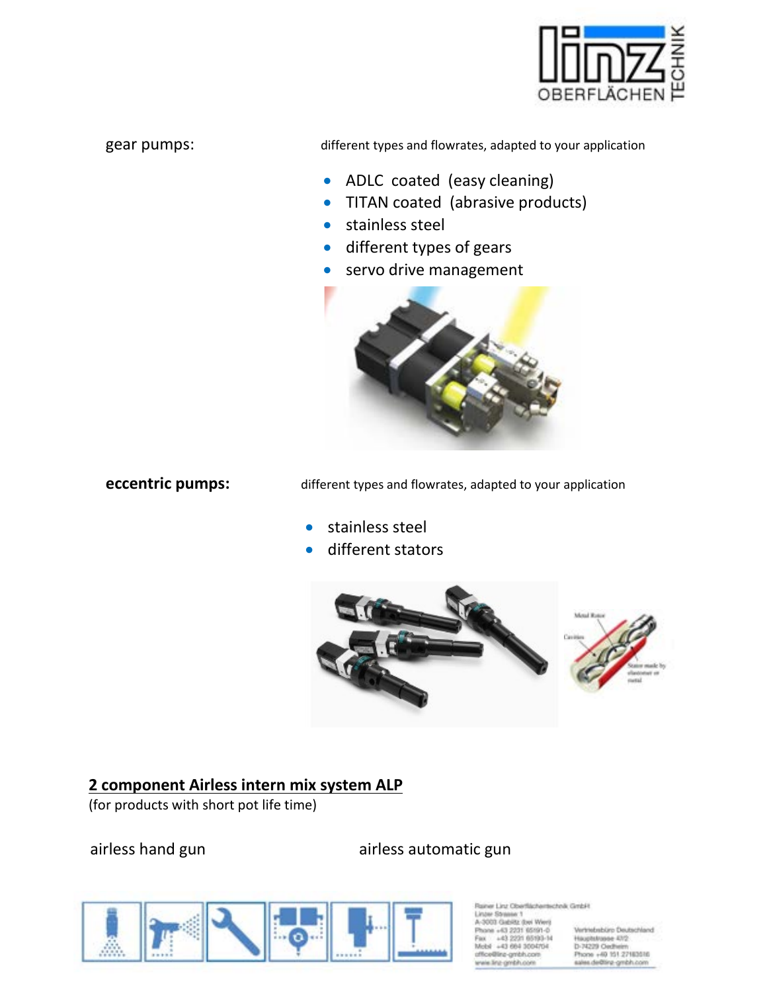

gear pumps: different types and flowrates, adapted to your application

- ADLC coated (easy cleaning)
- TITAN coated (abrasive products)
- stainless steel
- different types of gears
- servo drive management



**eccentric pumps:** different types and flowrates, adapted to your application

- stainless steel
- different stators



### **2 component Airless intern mix system ALP**

(for products with short pot life time)

### airless hand gun airless automatic gun



Linz Oberfächertscheik GmbH

Shreeker 1 43 2231 65191-0 On distribution

Vertriebsbüro Deutschland Hauptstrasse 47/2<br>D-74229 Oecheim Phone +49 151 27183516<br>sales.de@linz-gmbh.com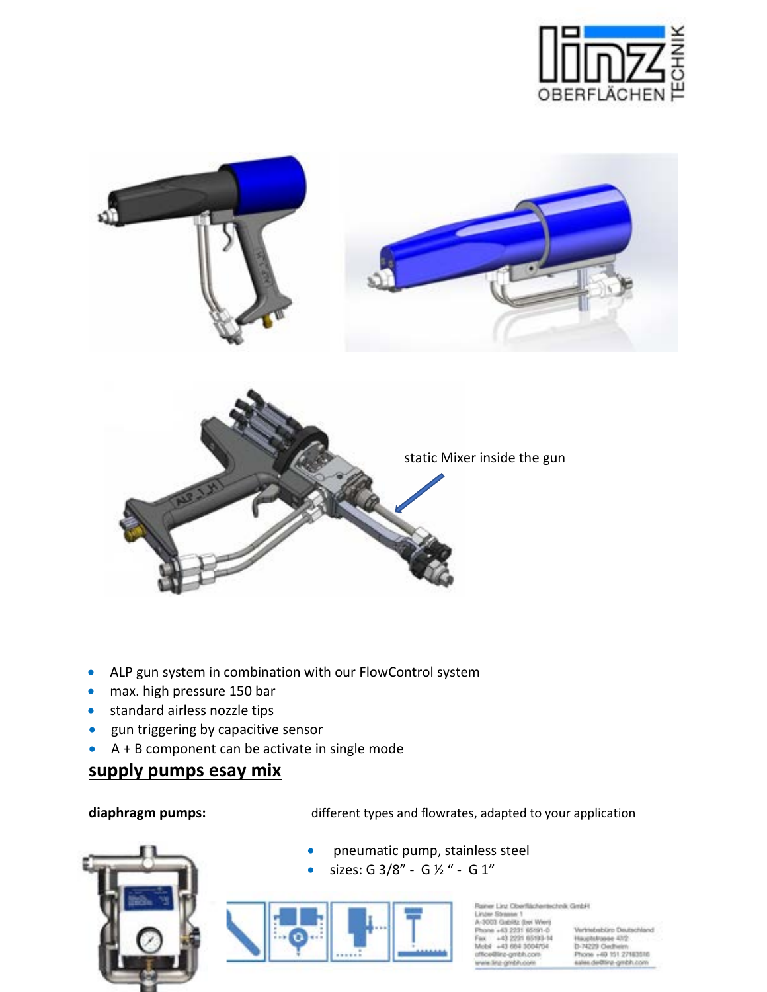





- ALP gun system in combination with our FlowControl system
- max. high pressure 150 bar
- standard airless nozzle tips
- gun triggering by capacitive sensor
- A + B component can be activate in single mode

### **supply pumps esay mix**

diaphragm pumps: different types and flowrates, adapted to your application



• pneumatic pump, stainless steel

• sizes: G 3/8" - G ½ " - G 1"



iner Linz Oberflächertschnik GmbH **Index Streamer 1** drills (but Went +63 2231 65191-0 **HOSE ARNALLAR** a5i. 43 664 3004704

Vertriebsbüro Deutschland Hauptstrasse 47/2<br>D-74229 Oecheim Phone +40 151 27183516<br>sales de@inz-gmbh.com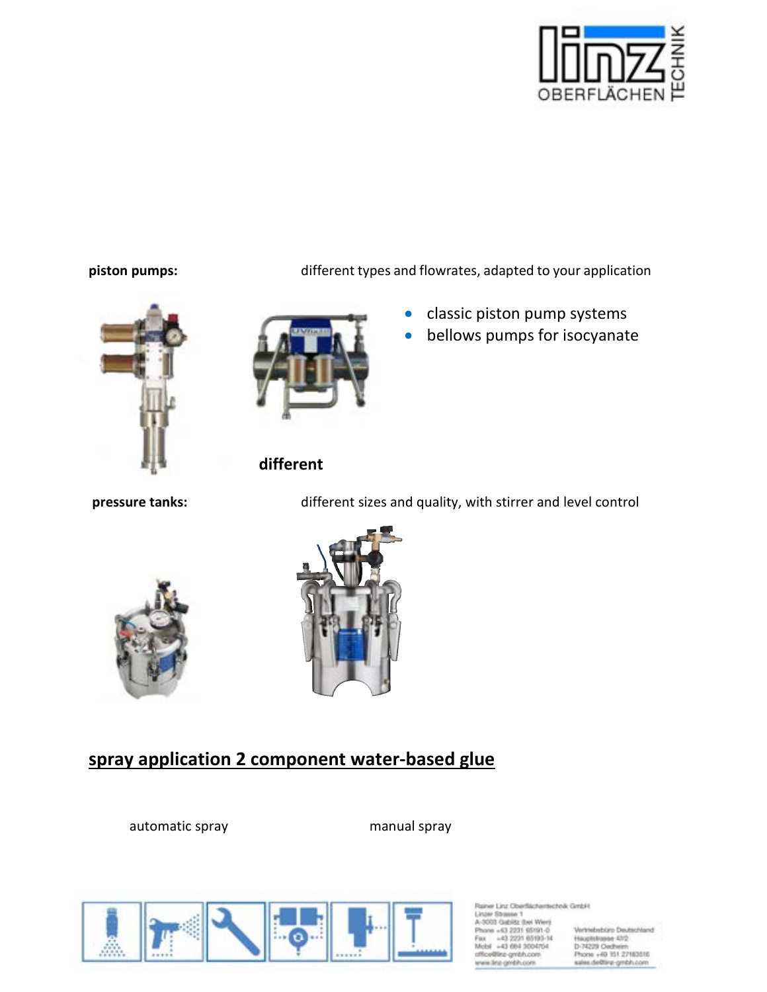

#### **piston pumps:** different types and flowrates, adapted to your application



### **different**

**pressure tanks:** different sizes and quality, with stirrer and level control

• classic piston pump systems • bellows pumps for isocyanate





# **spray application 2 component water-based glue**

automatic spray manual spray



seer Linz Oberflächertechnik GmbH Linter Stressor 1 3003 Gabiltz (bei Wert) cane +43 2231 65191-0 43, 2031 65193-14

43 664 3004704

a-ambh.con la cinistico

Vertriebsbüro Deutschland Hauptstrasse 47/2<br>D-74229 Oedheim Phone +49 151 27183516<br>sales de@inz-gmbh.com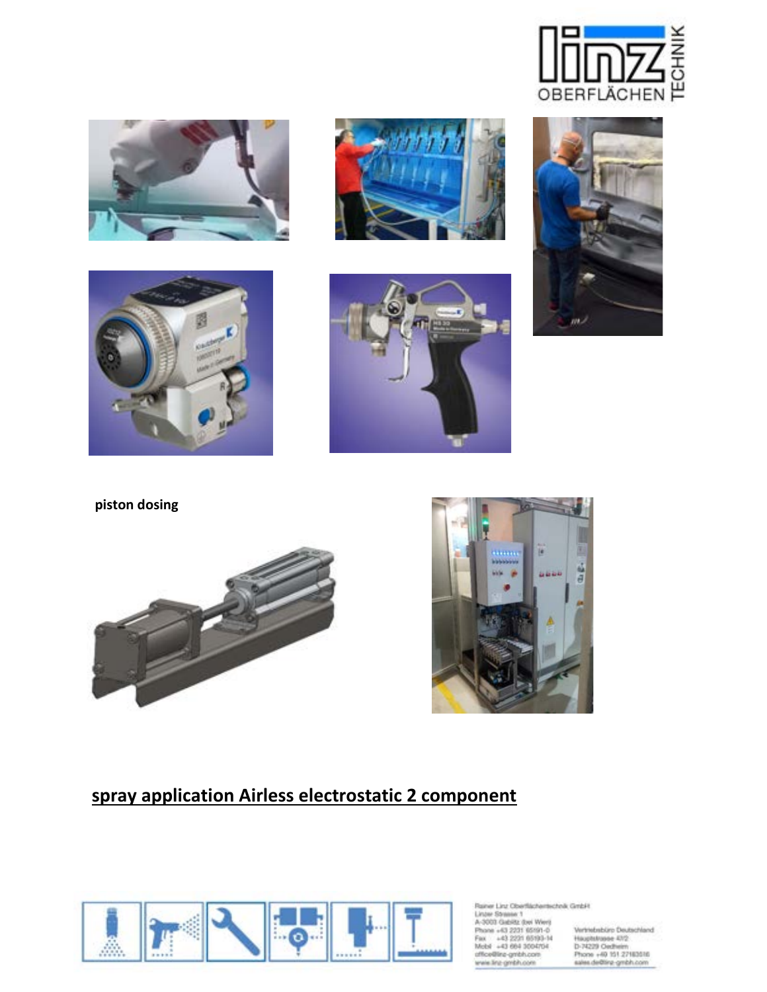

















# **spray application Airless electrostatic 2 component**



Rainer Linz Oberflächertscholk GmbH<br>Linzer Strassk 1<br>A-3001 Gabita: (bei Weri)<br>Phone +63 2231 65191-0<br>Fax. +43 2231 65191-14<br>Media: +43 2661 3004704<br>Microsline problicorii – Friene<br>unfordline gmbh.com – Friene<br>weis linz gm

Vertrebsbüro Deutschland<br>Hisoplatusse 43/2<br>D-74229 Oedheim<br>Phone +60 151 27183515<br>Kales de@ing-gmbh.com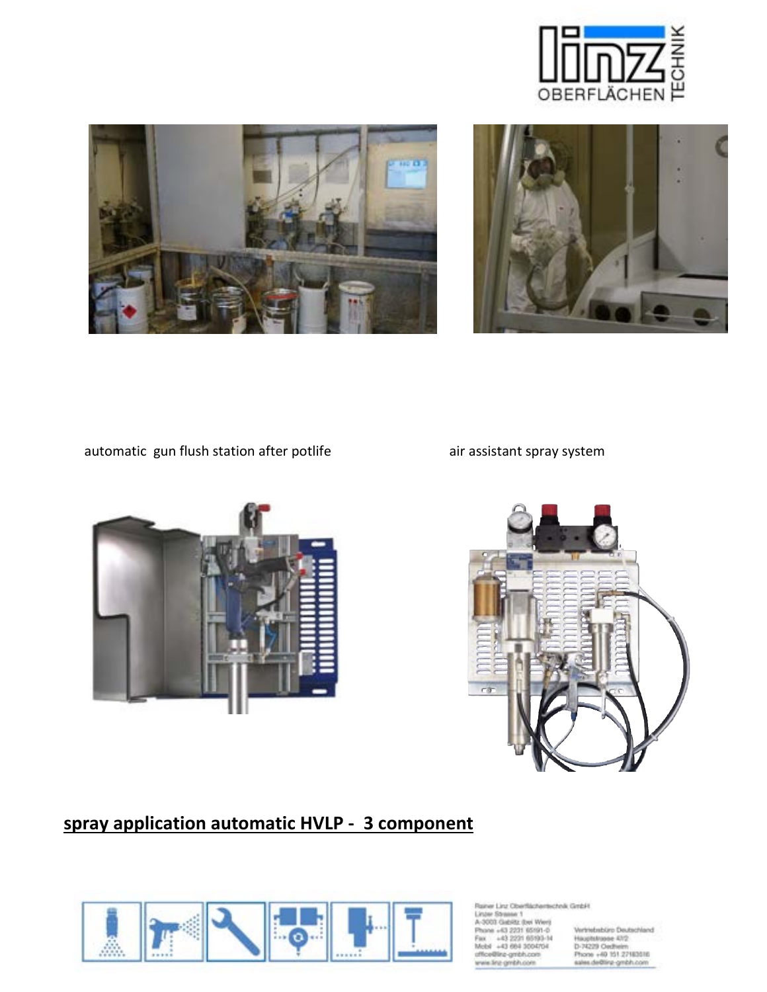





automatic gun flush station after potlife and air assistant spray system





# **spray application automatic HVLP - 3 component**



Rainer Linz Oberflächertscholk GmbH<br>Linzer Strassk 1<br>A-3003 Gabildz (bei Werji<br>Phone +63 2221 65991-0 Vertrie<br>Pan +63 2221 65993-14 Haupt<br>Mots +43 664 3004704 D-7422<br>Mots +43 664 3004704 D-7422 office@ing-gmbh.com<br>wwis.line.gmbh.com

Vertriebsbüro Deutschland<br>Hauplsbusse 43/2<br>D-74229 Oedheim<br>Phone +60 151 27183516<br>sales.de@fara\_gmbh.com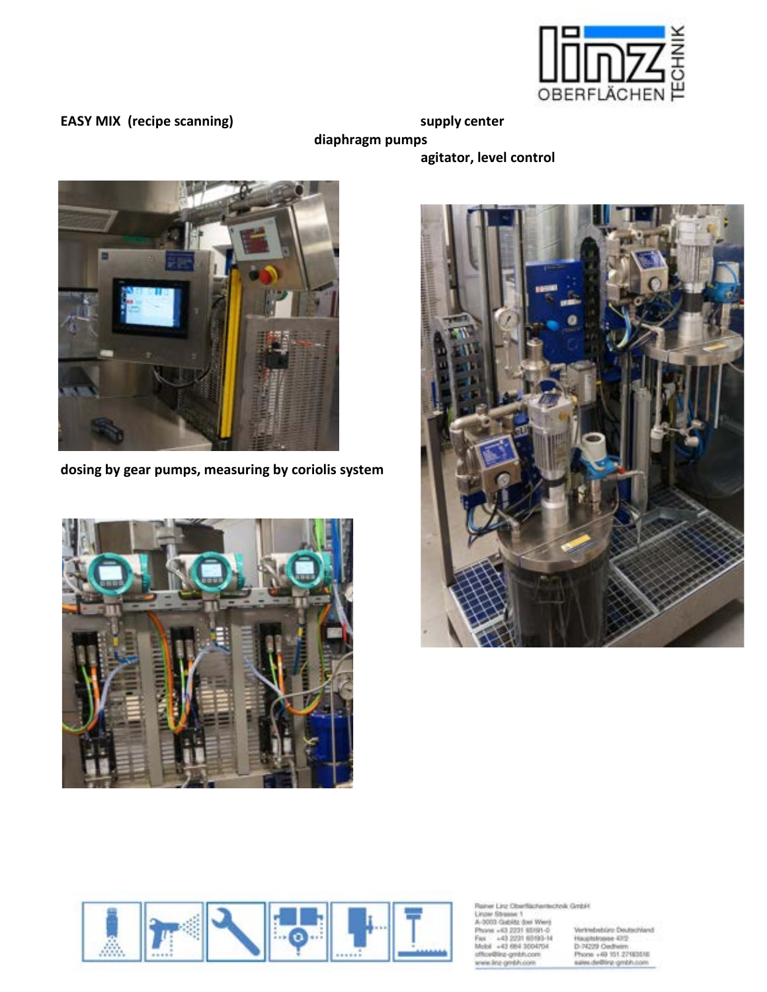

**EASY MIX** (recipe scanning) supply center

**diaphragm pumps** 

 **agitator, level control**



**dosing by gear pumps, measuring by coriolis system**







Rainer Linz Oberflächertscholk GmbH<br>Linzer Strassk 1<br>A-3003 Gabildz (bei Werji<br>Phone +63 2221 65991-0 Vertrie<br>Pan +63 2221 65993-14 Haupt<br>Mots +43 664 3004704 D-7422<br>Mots +43 664 3004704 D-7422 office@inz-gmbh.com<br>wwie.linz-gmbh.com

Vertrebabliro Deutschland<br>Hauplstrusse 43/2<br>D-74229 Oedhem<br>Phone +60 151 27183516<br>sales.de@fing-gmbh.com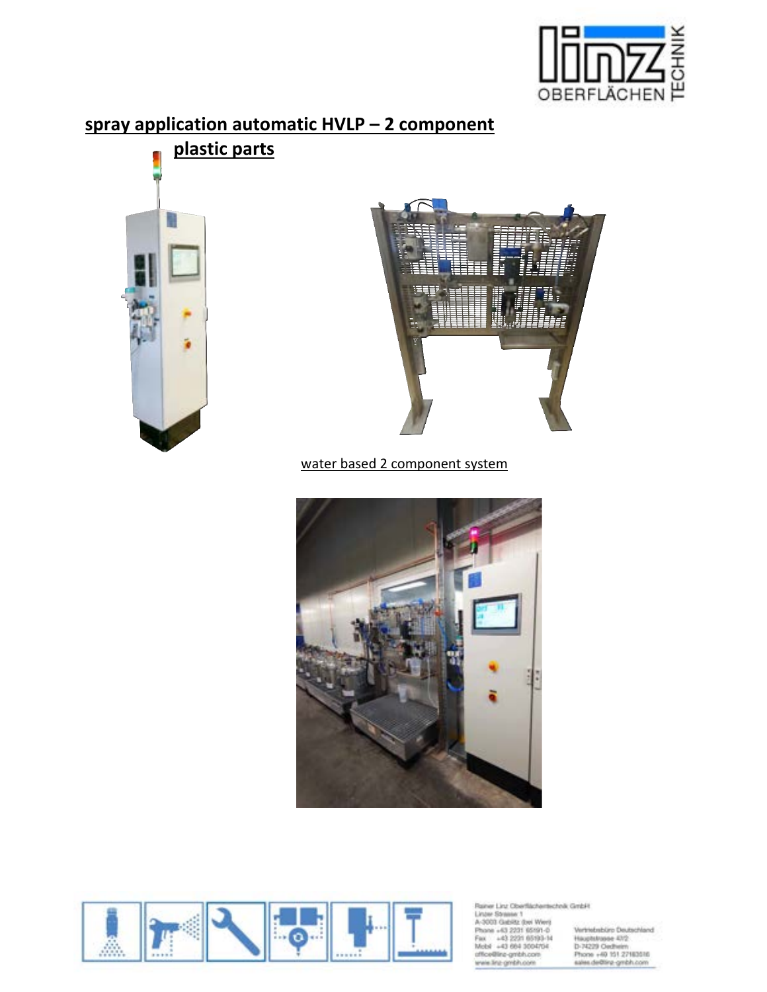

## **spray application automatic HVLP – 2 component**





water based 2 component system





Rainer Linz Oberflächertscholk GmbH<br>
1. Linzer Stresse 1<br>
A-3000 Gabitz (bei Werg<br>
1. Phone -43 2221 65991-0<br>
1. Phone -43 2221 65993-14<br>
1. Mobil -43 864 3004704<br>
1. Mobil -43 864 3004704<br>
1. 1. 2. 1. 1. 1. 1. 1. 1. 1. 1. office@ine-gmbh.com<br>wwie.line.gmbh.com

Vertriebsbüro Deutschland<br>Hauplsbusse 43/2<br>D-74229 Oedheim<br>Phone +60 151 27183516<br>sales.de@fara\_gmbh.com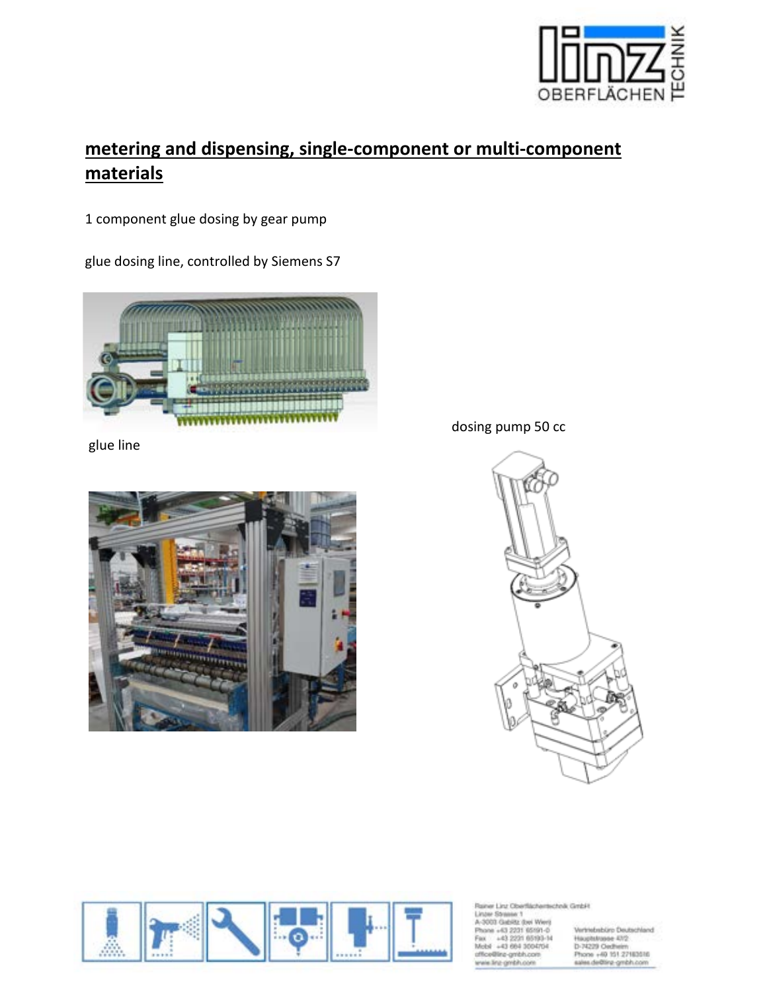

# **metering and dispensing, single-component or multi-component materials**

1 component glue dosing by gear pump

glue dosing line, controlled by Siemens S7



glue line



dosing pump 50 cc





sher Linz Oberflächertscholk GmbH Linter Stressor 1 A-3003 Gabiltz (bei Werp hone +63 2231 65191-0 +43 2231 65193-14<br>+43 664 3004704 re-gmbh.com ne ambh.co

Vertriebsbüro Deutschland Hauphtrasse 472<br>D-74229 Oedheim Phone +49 151 27183516<br>sales de@linz-gmbh.com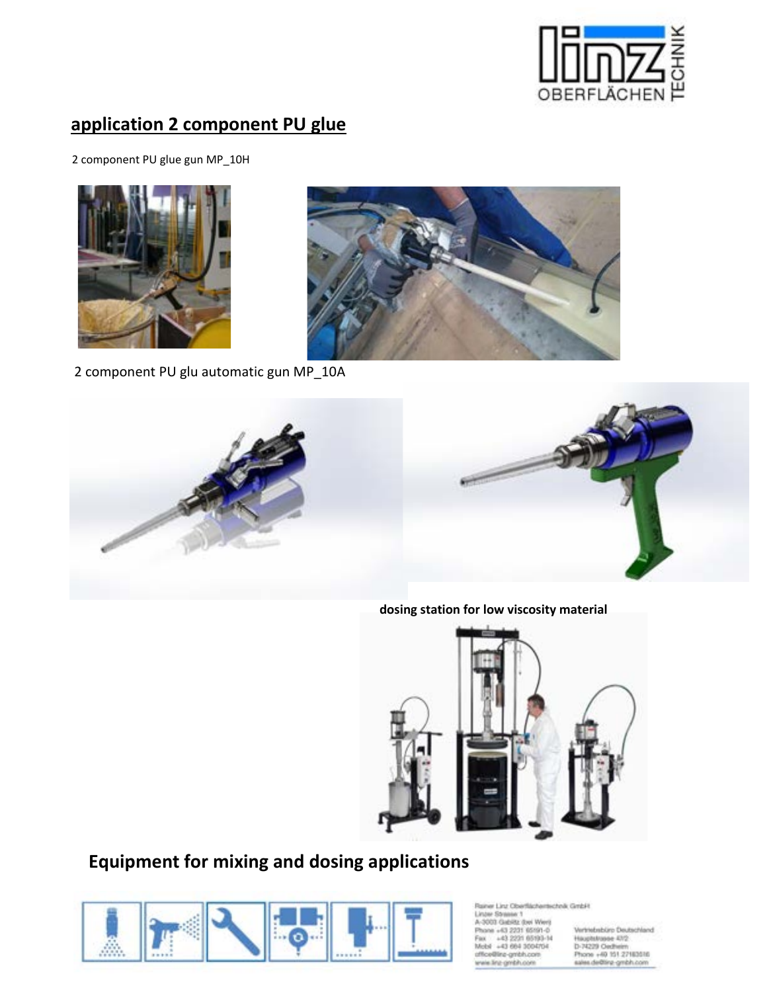

# **application 2 component PU glue**

2 component PU glue gun MP\_10H





2 component PU glu automatic gun MP\_10A



**dosing station for low viscosity material**



# **Equipment for mixing and dosing applications**



er Linz Oberflächertechnik GmbH **Christian 1** drills (but Went 43 2231 65191-0 100108-020 ėh 43 664 3004704

Vertriebsbüro Deutschland Hauptstrasse 47/2<br>D-74229 Oecheim Phone +49 151 27183516<br>sales de@inz-gmbh.com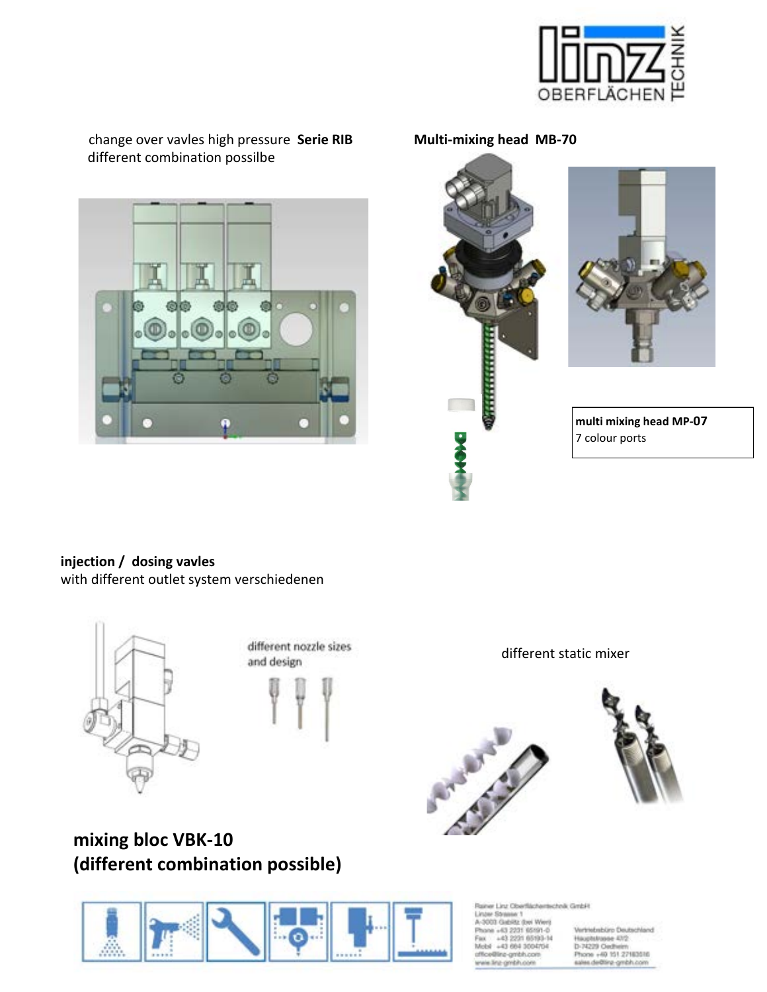

change over vavles high pressure **Serie RIB Multi-mixing head MB-70** different combination possilbe







 **multi mixing head MP-07** 7 colour ports

**injection / dosing vavles**  with different outlet system verschiedenen



different nozzle sizes and design



different static mixer





**mixing bloc VBK-10 (different combination possible)**

iner Linz Oberflächertscholk GmbH **Joseph Schoolse 1 Edito** (bed West 43 2231 65191-0 **HOST ARTIST LAB** a5i. 43 664 3004704

Vertriebsbüro Deutschland Hauptstrasse 47/2<br>D-74229 Oecheim Phone +49 151 27183516<br>sales de@inz-gmbh.com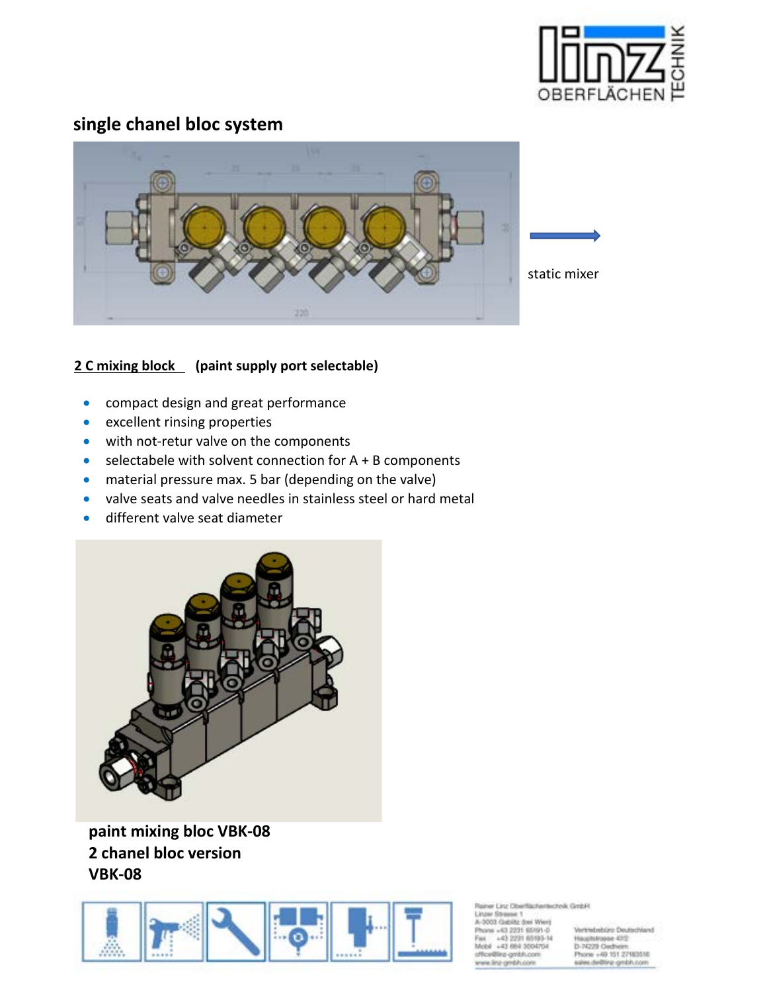

# **single chanel bloc system**



#### **2 C mixing block (paint supply port selectable)**

- compact design and great performance
- excellent rinsing properties
- with not-retur valve on the components
- selectabele with solvent connection for  $A + B$  components
- material pressure max. 5 bar (depending on the valve)
- valve seats and valve needles in stainless steel or hard metal
- different valve seat diameter



**paint mixing bloc VBK-08 2 chanel bloc version VBK-08**



sher Linz Oberflächertechnik GmbH Linzan Stressor 1 3003 Gabiltz (bei Wert) phe +63 2231 65191-0 43, 2031 65193-14 43 664 3004704 a-ambh.com

Vertriebsbüro Deutschland Hauptstrasse 47/2<br>D-74229 Oedheim Phone +40 151 27183516<br>sales de@linz-gmbh.com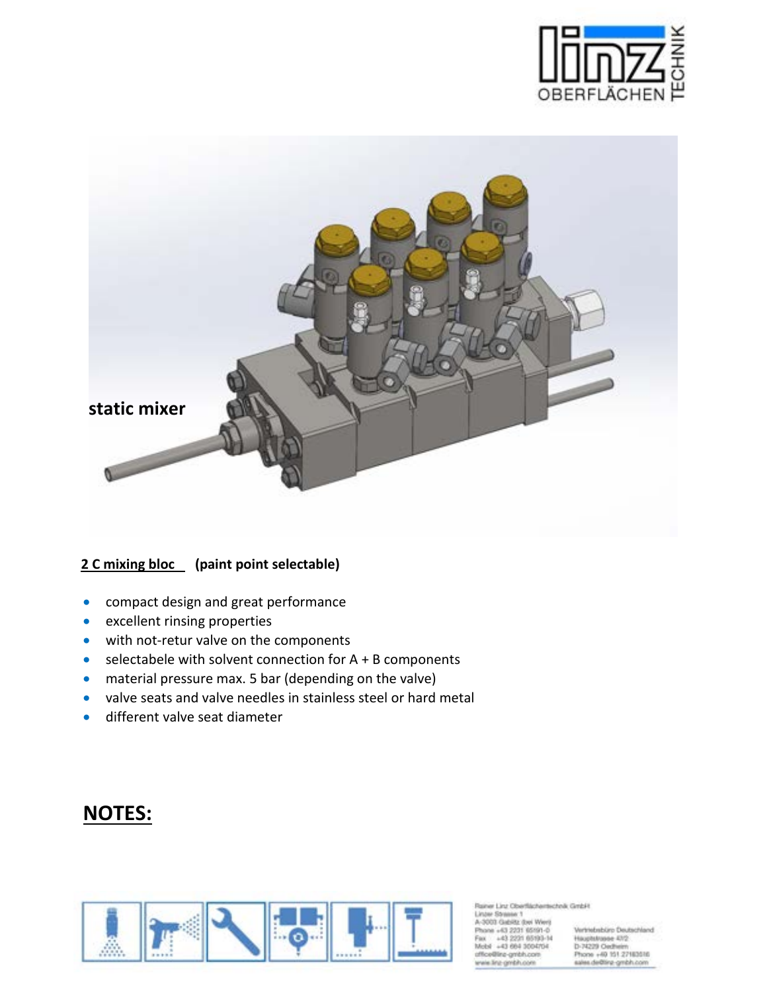



#### **2 C mixing bloc (paint point selectable)**

- compact design and great performance
- excellent rinsing properties
- with not-retur valve on the components
- selectabele with solvent connection for A + B components
- material pressure max. 5 bar (depending on the valve)
- valve seats and valve needles in stainless steel or hard metal
- different valve seat diameter

# **NOTES:**



ww Linz Oberflächertscholk GmbH Linzan Stressor 1

3003 Gabiltz (bei Wert) hane +63 2231 65191-0 43 2231 65103-14 43 664 3004704 re-gmbh.com a-centrin.co

Vertriebsbüro Deutschland Hauptstrasse 47/2<br>D-74229 Oedheim Phone +40 151 27183516<br>sales de@linz-gmbh.com